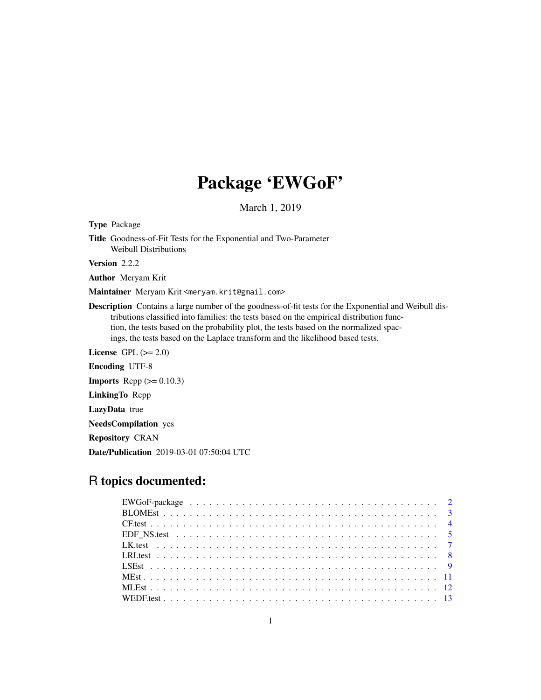# Package 'EWGoF'

March 1, 2019

Type Package Title Goodness-of-Fit Tests for the Exponential and Two-Parameter Weibull Distributions

Version 2.2.2

Author Meryam Krit

Maintainer Meryam Krit <meryam.krit@gmail.com>

Description Contains a large number of the goodness-of-fit tests for the Exponential and Weibull distributions classified into families: the tests based on the empirical distribution function, the tests based on the probability plot, the tests based on the normalized spacings, the tests based on the Laplace transform and the likelihood based tests.

License GPL  $(>= 2.0)$ Encoding UTF-8

**Imports** Rcpp  $(>= 0.10.3)$ 

LinkingTo Rcpp

LazyData true

NeedsCompilation yes

Repository CRAN

Date/Publication 2019-03-01 07:50:04 UTC

# R topics documented: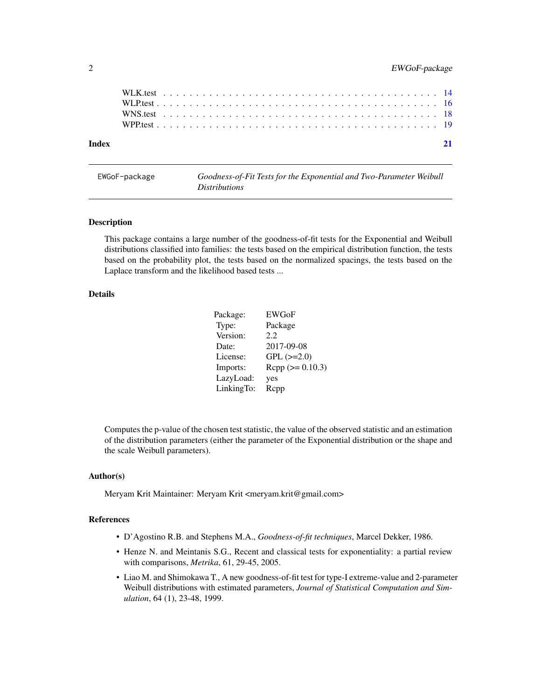<span id="page-1-0"></span>

| Index |  |  |  |  |  |  |  |  |  |  |  |  |  |  |  |  |  |  |  |  |  |  | 21 |
|-------|--|--|--|--|--|--|--|--|--|--|--|--|--|--|--|--|--|--|--|--|--|--|----|
|       |  |  |  |  |  |  |  |  |  |  |  |  |  |  |  |  |  |  |  |  |  |  |    |
|       |  |  |  |  |  |  |  |  |  |  |  |  |  |  |  |  |  |  |  |  |  |  |    |
|       |  |  |  |  |  |  |  |  |  |  |  |  |  |  |  |  |  |  |  |  |  |  |    |
|       |  |  |  |  |  |  |  |  |  |  |  |  |  |  |  |  |  |  |  |  |  |  |    |

EWGoF-package *Goodness-of-Fit Tests for the Exponential and Two-Parameter Weibull Distributions*

#### Description

This package contains a large number of the goodness-of-fit tests for the Exponential and Weibull distributions classified into families: the tests based on the empirical distribution function, the tests based on the probability plot, the tests based on the normalized spacings, the tests based on the Laplace transform and the likelihood based tests ...

#### Details

| Package:   | <b>EWGoF</b>        |
|------------|---------------------|
| Type:      | Package             |
| Version:   | 2.2                 |
| Date:      | 2017-09-08          |
| License:   | $GPL$ ( $>=2.0$ )   |
| Imports:   | $Rcpp (> = 0.10.3)$ |
| LazyLoad:  | yes                 |
| LinkingTo: | Rcpp                |

Computes the p-value of the chosen test statistic, the value of the observed statistic and an estimation of the distribution parameters (either the parameter of the Exponential distribution or the shape and the scale Weibull parameters).

# Author(s)

Meryam Krit Maintainer: Meryam Krit <meryam.krit@gmail.com>

# References

- D'Agostino R.B. and Stephens M.A., *Goodness-of-fit techniques*, Marcel Dekker, 1986.
- Henze N. and Meintanis S.G., Recent and classical tests for exponentiality: a partial review with comparisons, *Metrika*, 61, 29-45, 2005.
- Liao M. and Shimokawa T., A new goodness-of-fit test for type-I extreme-value and 2-parameter Weibull distributions with estimated parameters, *Journal of Statistical Computation and Simulation*, 64 (1), 23-48, 1999.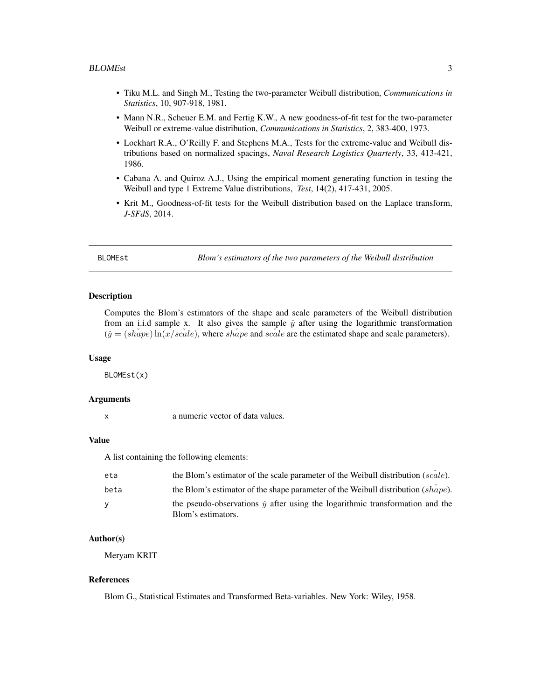- <span id="page-2-0"></span>• Tiku M.L. and Singh M., Testing the two-parameter Weibull distribution, *Communications in Statistics*, 10, 907-918, 1981.
- Mann N.R., Scheuer E.M. and Fertig K.W., A new goodness-of-fit test for the two-parameter Weibull or extreme-value distribution, *Communications in Statistics*, 2, 383-400, 1973.
- Lockhart R.A., O'Reilly F. and Stephens M.A., Tests for the extreme-value and Weibull distributions based on normalized spacings, *Naval Research Logistics Quarterly*, 33, 413-421, 1986.
- Cabana A. and Quiroz A.J., Using the empirical moment generating function in testing the Weibull and type 1 Extreme Value distributions, *Test*, 14(2), 417-431, 2005.
- Krit M., Goodness-of-fit tests for the Weibull distribution based on the Laplace transform, *J-SFdS*, 2014.

BLOMEst *Blom's estimators of the two parameters of the Weibull distribution*

#### Description

Computes the Blom's estimators of the shape and scale parameters of the Weibull distribution from an i.i.d sample x. It also gives the sample  $\check{y}$  after using the logarithmic transformation  $(\check{y} = (shape) \ln(x/scale)$ , where *shape* and *scale* are the estimated shape and scale parameters).

#### Usage

BLOMEst(x)

#### Arguments

#### Value

A list containing the following elements:

| eta  | the Blom's estimator of the scale parameter of the Weibull distribution (scale).       |
|------|----------------------------------------------------------------------------------------|
| beta | the Blom's estimator of the shape parameter of the Weibull distribution $(shape)$ .    |
| v    | the pseudo-observations $\check{y}$ after using the logarithmic transformation and the |
|      | Blom's estimators.                                                                     |

#### Author(s)

Meryam KRIT

#### References

Blom G., Statistical Estimates and Transformed Beta-variables. New York: Wiley, 1958.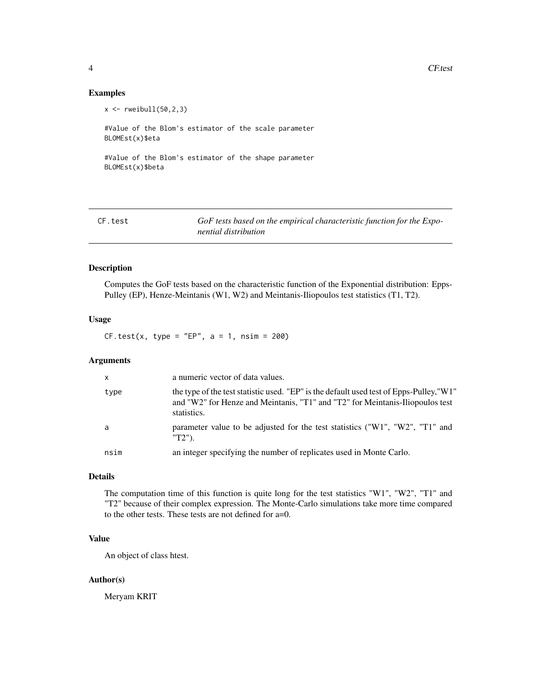4 CF.test

# Examples

```
x \leftarrow \text{rweibull}(50, 2, 3)#Value of the Blom's estimator of the scale parameter
BLOMEst(x)$eta
#Value of the Blom's estimator of the shape parameter
BLOMEst(x)$beta
```

| CF.test | GoF tests based on the empirical characteristic function for the Expo- |
|---------|------------------------------------------------------------------------|
|         | nential distribution                                                   |

# Description

Computes the GoF tests based on the characteristic function of the Exponential distribution: Epps-Pulley (EP), Henze-Meintanis (W1, W2) and Meintanis-Iliopoulos test statistics (T1, T2).

#### Usage

 $CF.test(x, type = "EP", a = 1, ns = 200)$ 

# Arguments

| $\mathsf{x}$ | a numeric vector of data values.                                                                                                                                                        |
|--------------|-----------------------------------------------------------------------------------------------------------------------------------------------------------------------------------------|
| type         | the type of the test statistic used. "EP" is the default used test of Epps-Pulley, "W1"<br>and "W2" for Henze and Meintanis, "T1" and "T2" for Meintanis-Iliopoulos test<br>statistics. |
| a            | parameter value to be adjusted for the test statistics ("W1", "W2", "T1" and<br>$T2$ ").                                                                                                |
| nsim         | an integer specifying the number of replicates used in Monte Carlo.                                                                                                                     |

# Details

The computation time of this function is quite long for the test statistics "W1", "W2", "T1" and "T2" because of their complex expression. The Monte-Carlo simulations take more time compared to the other tests. These tests are not defined for a=0.

# Value

An object of class htest.

## Author(s)

Meryam KRIT

<span id="page-3-0"></span>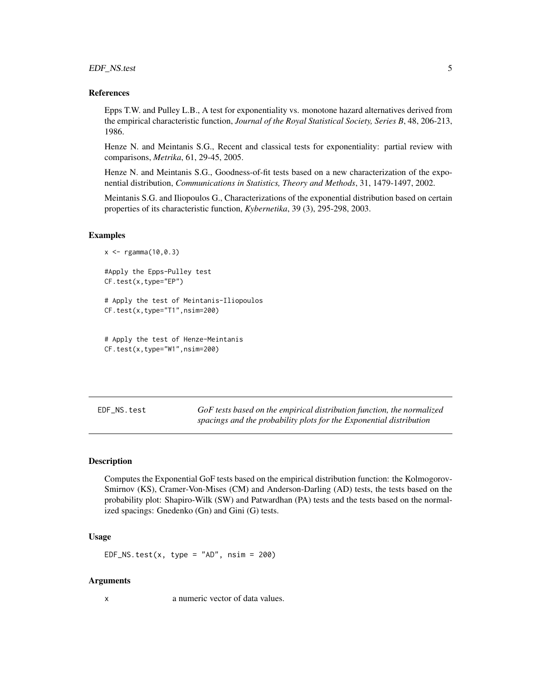<span id="page-4-0"></span>EDF\_NS.test 5

#### References

Epps T.W. and Pulley L.B., A test for exponentiality vs. monotone hazard alternatives derived from the empirical characteristic function, *Journal of the Royal Statistical Society, Series B*, 48, 206-213, 1986.

Henze N. and Meintanis S.G., Recent and classical tests for exponentiality: partial review with comparisons, *Metrika*, 61, 29-45, 2005.

Henze N. and Meintanis S.G., Goodness-of-fit tests based on a new characterization of the exponential distribution, *Communications in Statistics, Theory and Methods*, 31, 1479-1497, 2002.

Meintanis S.G. and Iliopoulos G., Characterizations of the exponential distribution based on certain properties of its characteristic function, *Kybernetika*, 39 (3), 295-298, 2003.

#### Examples

```
x < - \text{rgamma}(10, 0.3)#Apply the Epps-Pulley test
CF.test(x,type="EP")
# Apply the test of Meintanis-Iliopoulos
CF.test(x,type="T1",nsim=200)
```

```
# Apply the test of Henze-Meintanis
CF.test(x,type="W1",nsim=200)
```
EDF\_NS.test *GoF tests based on the empirical distribution function, the normalized spacings and the probability plots for the Exponential distribution*

#### Description

Computes the Exponential GoF tests based on the empirical distribution function: the Kolmogorov-Smirnov (KS), Cramer-Von-Mises (CM) and Anderson-Darling (AD) tests, the tests based on the probability plot: Shapiro-Wilk (SW) and Patwardhan (PA) tests and the tests based on the normalized spacings: Gnedenko (Gn) and Gini (G) tests.

#### Usage

EDF\_NS.test(x, type =  $"AD",$  nsim = 200)

#### Arguments

x a numeric vector of data values.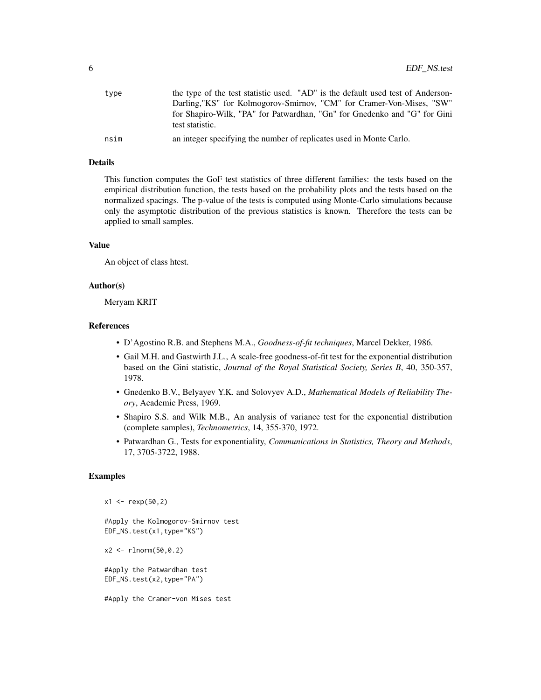| type | the type of the test statistic used. "AD" is the default used test of Anderson-<br>Darling, "KS" for Kolmogorov-Smirnov, "CM" for Cramer-Von-Mises, "SW" |
|------|----------------------------------------------------------------------------------------------------------------------------------------------------------|
|      | for Shapiro-Wilk, "PA" for Patwardhan, "Gn" for Gnedenko and "G" for Gini<br>test statistic.                                                             |
| nsim | an integer specifying the number of replicates used in Monte Carlo.                                                                                      |

#### Details

This function computes the GoF test statistics of three different families: the tests based on the empirical distribution function, the tests based on the probability plots and the tests based on the normalized spacings. The p-value of the tests is computed using Monte-Carlo simulations because only the asymptotic distribution of the previous statistics is known. Therefore the tests can be applied to small samples.

#### Value

An object of class htest.

#### Author(s)

Meryam KRIT

# References

- D'Agostino R.B. and Stephens M.A., *Goodness-of-fit techniques*, Marcel Dekker, 1986.
- Gail M.H. and Gastwirth J.L., A scale-free goodness-of-fit test for the exponential distribution based on the Gini statistic, *Journal of the Royal Statistical Society, Series B*, 40, 350-357, 1978.
- Gnedenko B.V., Belyayev Y.K. and Solovyev A.D., *Mathematical Models of Reliability Theory*, Academic Press, 1969.
- Shapiro S.S. and Wilk M.B., An analysis of variance test for the exponential distribution (complete samples), *Technometrics*, 14, 355-370, 1972.
- Patwardhan G., Tests for exponentiality, *Communications in Statistics, Theory and Methods*, 17, 3705-3722, 1988.

# Examples

```
x1 \le - rexp(50,2)
```
#Apply the Kolmogorov-Smirnov test EDF\_NS.test(x1,type="KS")

x2 <- rlnorm(50,0.2)

#Apply the Patwardhan test EDF\_NS.test(x2,type="PA")

#Apply the Cramer-von Mises test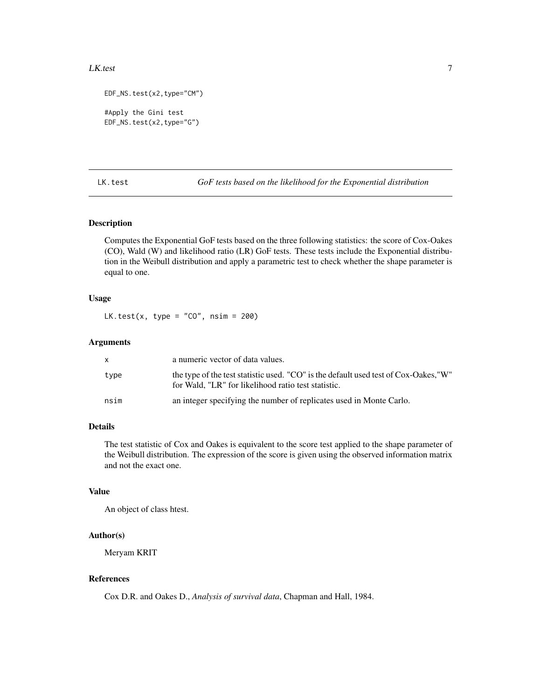#### <span id="page-6-0"></span>LK.test 7

```
EDF_NS.test(x2,type="CM")
#Apply the Gini test
EDF_NS.test(x2,type="G")
```
LK.test *GoF tests based on the likelihood for the Exponential distribution*

# Description

Computes the Exponential GoF tests based on the three following statistics: the score of Cox-Oakes (CO), Wald (W) and likelihood ratio (LR) GoF tests. These tests include the Exponential distribution in the Weibull distribution and apply a parametric test to check whether the shape parameter is equal to one.

#### Usage

LK.test(x, type =  $"CO"$ , nsim = 200)

# Arguments

|      | a numeric vector of data values.                                                                                                            |
|------|---------------------------------------------------------------------------------------------------------------------------------------------|
| type | the type of the test statistic used. "CO" is the default used test of Cox-Oakes, "W"<br>for Wald, "LR" for likelihood ratio test statistic. |
| nsim | an integer specifying the number of replicates used in Monte Carlo.                                                                         |

## Details

The test statistic of Cox and Oakes is equivalent to the score test applied to the shape parameter of the Weibull distribution. The expression of the score is given using the observed information matrix and not the exact one.

# Value

An object of class htest.

#### Author(s)

Meryam KRIT

### References

Cox D.R. and Oakes D., *Analysis of survival data*, Chapman and Hall, 1984.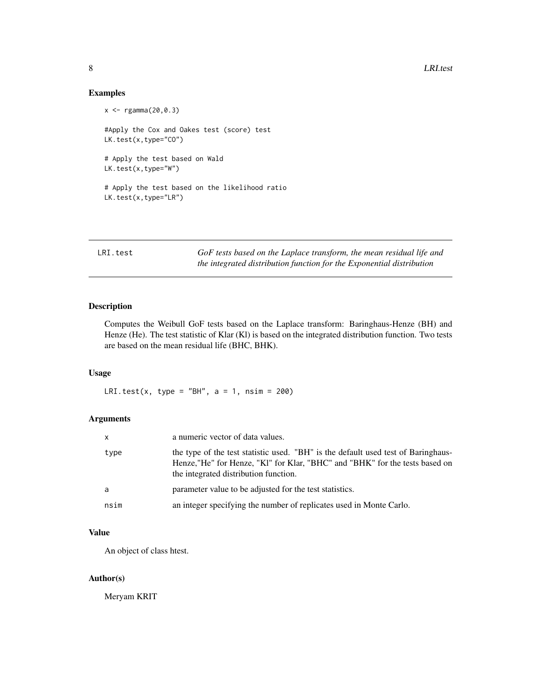# Examples

```
x <- rgamma(20,0.3)
#Apply the Cox and Oakes test (score) test
LK.test(x,type="CO")
# Apply the test based on Wald
LK.test(x,type="W")
# Apply the test based on the likelihood ratio
LK.test(x,type="LR")
```

| LRI.test | GoF tests based on the Laplace transform, the mean residual life and  |
|----------|-----------------------------------------------------------------------|
|          | the integrated distribution function for the Exponential distribution |

# Description

Computes the Weibull GoF tests based on the Laplace transform: Baringhaus-Henze (BH) and Henze (He). The test statistic of Klar (Kl) is based on the integrated distribution function. Two tests are based on the mean residual life (BHC, BHK).

#### Usage

LRI.test(x, type = "BH",  $a = 1$ ,  $nsim = 200$ )

# Arguments

| x    | a numeric vector of data values.                                                                                                                                                                          |
|------|-----------------------------------------------------------------------------------------------------------------------------------------------------------------------------------------------------------|
| type | the type of the test statistic used. "BH" is the default used test of Baringhaus-<br>Henze,"He" for Henze, "Kl" for Klar, "BHC" and "BHK" for the tests based on<br>the integrated distribution function. |
| a    | parameter value to be adjusted for the test statistics.                                                                                                                                                   |
| nsim | an integer specifying the number of replicates used in Monte Carlo.                                                                                                                                       |

# Value

An object of class htest.

# Author(s)

Meryam KRIT

<span id="page-7-0"></span>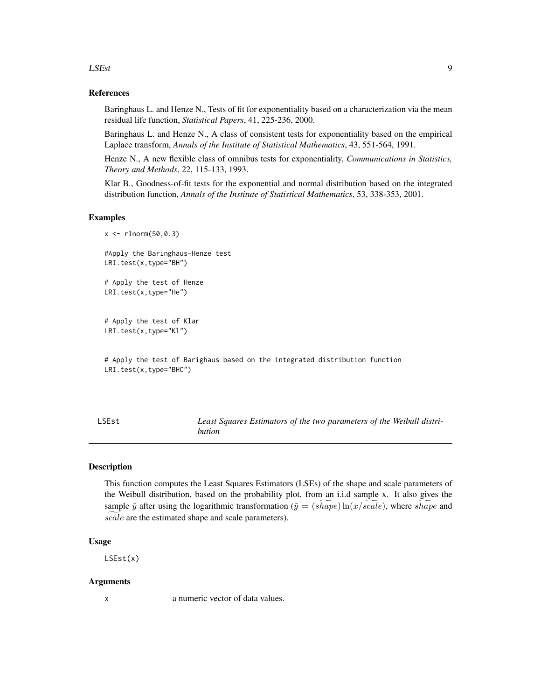#### <span id="page-8-0"></span>LSEst 9

# References

Baringhaus L. and Henze N., Tests of fit for exponentiality based on a characterization via the mean residual life function, *Statistical Papers*, 41, 225-236, 2000.

Baringhaus L. and Henze N., A class of consistent tests for exponentiality based on the empirical Laplace transform, *Annals of the Institute of Statistical Mathematics*, 43, 551-564, 1991.

Henze N., A new flexible class of omnibus tests for exponentiality, *Communications in Statistics, Theory and Methods*, 22, 115-133, 1993.

Klar B., Goodness-of-fit tests for the exponential and normal distribution based on the integrated distribution function, *Annals of the Institute of Statistical Mathematics*, 53, 338-353, 2001.

# Examples

x <- rlnorm(50,0.3) #Apply the Baringhaus-Henze test LRI.test(x,type="BH") # Apply the test of Henze LRI.test(x,type="He")

# Apply the test of Klar LRI.test(x,type="Kl")

# Apply the test of Barighaus based on the integrated distribution function LRI.test(x,type="BHC")

LSEst *Least Squares Estimators of the two parameters of the Weibull distribution*

#### **Description**

This function computes the Least Squares Estimators (LSEs) of the shape and scale parameters of the Weibull distribution, based on the probability plot, from an i.i.d sample x. It also gives the sample  $\tilde{y}$  after using the logarithmic transformation ( $\tilde{y} = (shape) \ln(x/scale)$ , where shape and scale are the estimated shape and scale parameters).

#### Usage

LSEst(x)

#### Arguments

x a numeric vector of data values.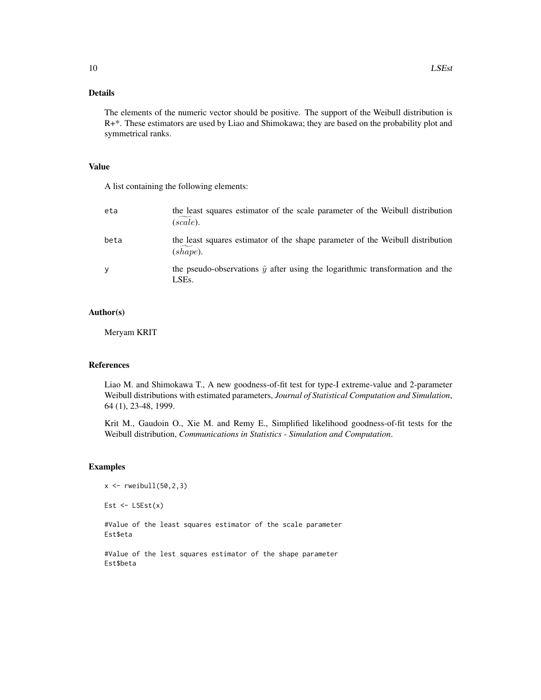# Details

The elements of the numeric vector should be positive. The support of the Weibull distribution is R+\*. These estimators are used by Liao and Shimokawa; they are based on the probability plot and symmetrical ranks.

# Value

A list containing the following elements:

| eta      | the least squares estimator of the scale parameter of the Weibull distribution<br>(scale).                            |
|----------|-----------------------------------------------------------------------------------------------------------------------|
| beta     | the least squares estimator of the shape parameter of the Weibull distribution<br>(shape).                            |
| <b>y</b> | the pseudo-observations $\tilde{\mathbf{y}}$ after using the logarithmic transformation and the<br>LSE <sub>s</sub> . |

#### Author(s)

Meryam KRIT

# References

Liao M. and Shimokawa T., A new goodness-of-fit test for type-I extreme-value and 2-parameter Weibull distributions with estimated parameters, *Journal of Statistical Computation and Simulation*, 64 (1), 23-48, 1999.

Krit M., Gaudoin O., Xie M. and Remy E., Simplified likelihood goodness-of-fit tests for the Weibull distribution, *Communications in Statistics - Simulation and Computation*.

# Examples

```
x \leftarrow \text{rweibull}(50, 2, 3)
```
Est  $\leftarrow$  LSEst $(x)$ 

#Value of the least squares estimator of the scale parameter Est\$eta

#Value of the lest squares estimator of the shape parameter Est\$beta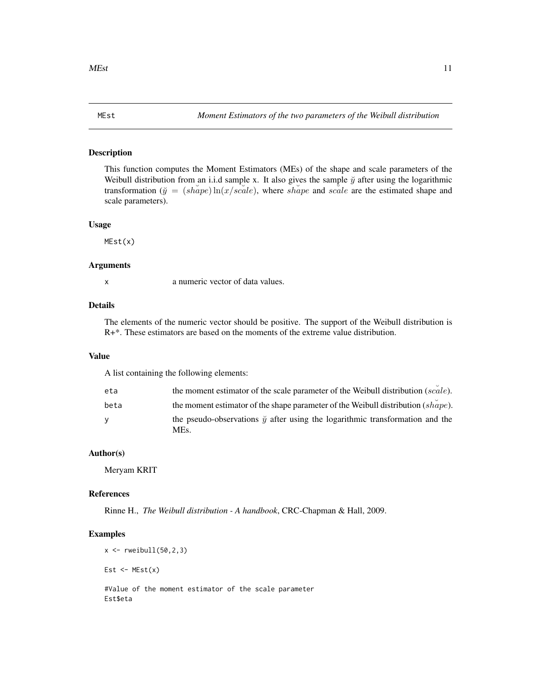#### <span id="page-10-0"></span>Description

This function computes the Moment Estimators (MEs) of the shape and scale parameters of the Weibull distribution from an i.i.d sample x. It also gives the sample  $\check{y}$  after using the logarithmic transformation ( $\breve{y} = (shape) \ln(x/scale)$ , where shape and scale are the estimated shape and scale parameters).

#### Usage

MEst(x)

#### Arguments

x a numeric vector of data values.

#### Details

The elements of the numeric vector should be positive. The support of the Weibull distribution is R+\*. These estimators are based on the moments of the extreme value distribution.

#### Value

A list containing the following elements:

| eta  | the moment estimator of the scale parameter of the Weibull distribution (scale).                    |
|------|-----------------------------------------------------------------------------------------------------|
| beta | the moment estimator of the shape parameter of the Weibull distribution $(sh\overset{\sim}{a}pe)$ . |
| v    | the pseudo-observations $\tilde{y}$ after using the logarithmic transformation and the<br>MEs.      |

# Author(s)

Meryam KRIT

# References

Rinne H., *The Weibull distribution - A handbook*, CRC-Chapman & Hall, 2009.

#### Examples

 $x \leftarrow \text{rweibull}(50, 2, 3)$ 

Est  $\leftarrow$  MEst $(x)$ 

#Value of the moment estimator of the scale parameter Est\$eta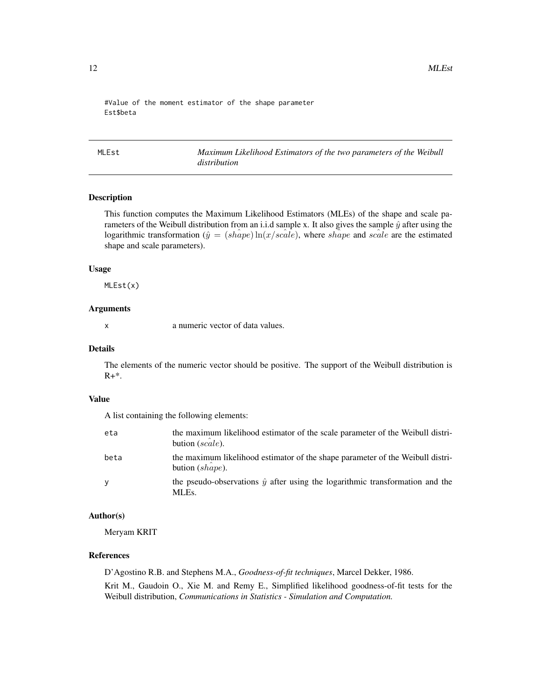<span id="page-11-0"></span>#Value of the moment estimator of the shape parameter Est\$beta

MLEst *Maximum Likelihood Estimators of the two parameters of the Weibull distribution*

# Description

This function computes the Maximum Likelihood Estimators (MLEs) of the shape and scale parameters of the Weibull distribution from an i.i.d sample x. It also gives the sample  $\hat{y}$  after using the logarithmic transformation ( $\hat{y} = (sh\hat{a}pe) \ln(x/scale)$ , where shape and scale are the estimated shape and scale parameters).

# Usage

MLEst(x)

#### Arguments

x a numeric vector of data values.

#### Details

The elements of the numeric vector should be positive. The support of the Weibull distribution is  $R+*$ .

# Value

A list containing the following elements:

| eta      | the maximum likelihood estimator of the scale parameter of the Weibull distri-<br>bution (scale).    |
|----------|------------------------------------------------------------------------------------------------------|
| beta     | the maximum likelihood estimator of the shape parameter of the Weibull distri-<br>bution $(shape)$ . |
| <b>V</b> | the pseudo-observations $\hat{y}$ after using the logarithmic transformation and the<br>MLEs.        |

#### Author(s)

Meryam KRIT

#### References

D'Agostino R.B. and Stephens M.A., *Goodness-of-fit techniques*, Marcel Dekker, 1986.

Krit M., Gaudoin O., Xie M. and Remy E., Simplified likelihood goodness-of-fit tests for the Weibull distribution, *Communications in Statistics - Simulation and Computation.*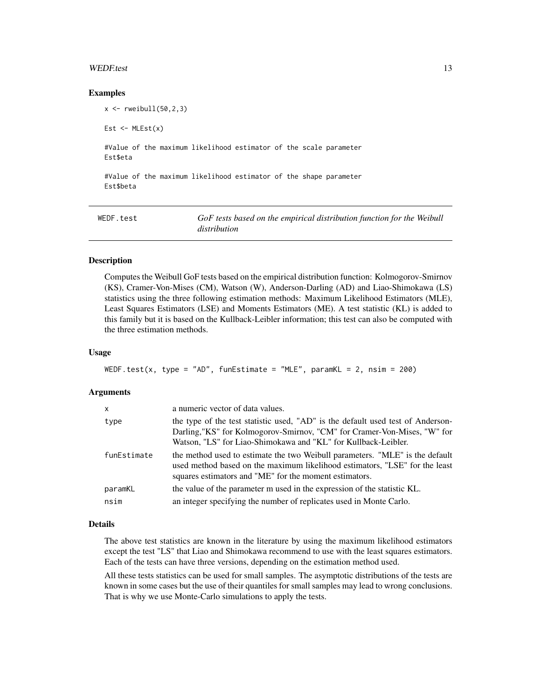#### <span id="page-12-0"></span>WEDF.test 13

#### Examples

 $x \le -$  rweibull(50,2,3) Est  $\leftarrow$  MLEst $(x)$ #Value of the maximum likelihood estimator of the scale parameter Est\$eta

#Value of the maximum likelihood estimator of the shape parameter Est\$beta

| WEDF.test | GoF tests based on the empirical distribution function for the Weibull |
|-----------|------------------------------------------------------------------------|
|           | distribution                                                           |

#### Description

Computes the Weibull GoF tests based on the empirical distribution function: Kolmogorov-Smirnov (KS), Cramer-Von-Mises (CM), Watson (W), Anderson-Darling (AD) and Liao-Shimokawa (LS) statistics using the three following estimation methods: Maximum Likelihood Estimators (MLE), Least Squares Estimators (LSE) and Moments Estimators (ME). A test statistic (KL) is added to this family but it is based on the Kullback-Leibler information; this test can also be computed with the three estimation methods.

#### Usage

```
WEDF.test(x, type = "AD", funEstimate = "MLE", paramKL = 2, nsim = 200)
```
#### Arguments

| $\mathsf{x}$ | a numeric vector of data values.                                                                                                                                                                                             |
|--------------|------------------------------------------------------------------------------------------------------------------------------------------------------------------------------------------------------------------------------|
| type         | the type of the test statistic used, "AD" is the default used test of Anderson-<br>Darling,"KS" for Kolmogorov-Smirnov, "CM" for Cramer-Von-Mises, "W" for<br>Watson, "LS" for Liao-Shimokawa and "KL" for Kullback-Leibler. |
| funEstimate  | the method used to estimate the two Weibull parameters. "MLE" is the default<br>used method based on the maximum likelihood estimators, "LSE" for the least<br>squares estimators and "ME" for the moment estimators.        |
| paramKL      | the value of the parameter m used in the expression of the statistic KL.                                                                                                                                                     |
| nsim         | an integer specifying the number of replicates used in Monte Carlo.                                                                                                                                                          |

# Details

The above test statistics are known in the literature by using the maximum likelihood estimators except the test "LS" that Liao and Shimokawa recommend to use with the least squares estimators. Each of the tests can have three versions, depending on the estimation method used.

All these tests statistics can be used for small samples. The asymptotic distributions of the tests are known in some cases but the use of their quantiles for small samples may lead to wrong conclusions. That is why we use Monte-Carlo simulations to apply the tests.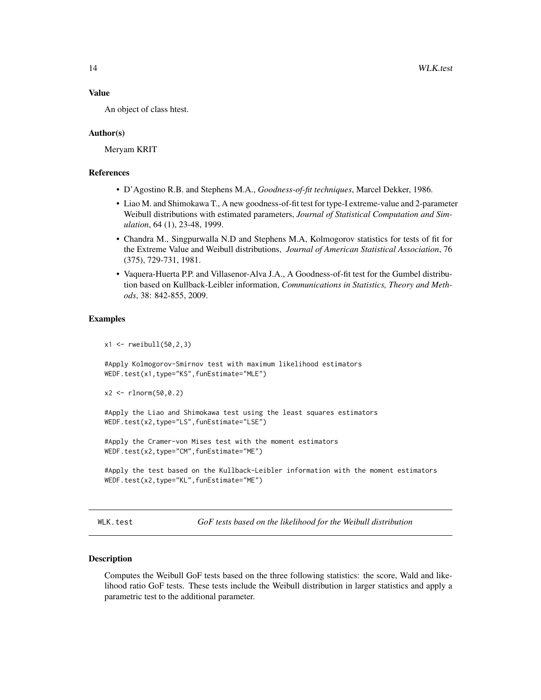#### <span id="page-13-0"></span>Value

An object of class htest.

#### Author(s)

Meryam KRIT

# **References**

- D'Agostino R.B. and Stephens M.A., *Goodness-of-fit techniques*, Marcel Dekker, 1986.
- Liao M. and Shimokawa T., A new goodness-of-fit test for type-I extreme-value and 2-parameter Weibull distributions with estimated parameters, *Journal of Statistical Computation and Simulation*, 64 (1), 23-48, 1999.
- Chandra M., Singpurwalla N.D and Stephens M.A, Kolmogorov statistics for tests of fit for the Extreme Value and Weibull distributions, *Journal of American Statistical Association*, 76 (375), 729-731, 1981.
- Vaquera-Huerta P.P. and Villasenor-Alva J.A., A Goodness-of-fit test for the Gumbel distribution based on Kullback-Leibler information, *Communications in Statistics, Theory and Methods*, 38: 842-855, 2009.

#### Examples

```
x1 < - rweibull(50,2,3)
```
#Apply Kolmogorov-Smirnov test with maximum likelihood estimators WEDF.test(x1,type="KS",funEstimate="MLE")

```
x2 <- rlnorm(50,0.2)
```
#Apply the Liao and Shimokawa test using the least squares estimators WEDF.test(x2,type="LS",funEstimate="LSE")

```
#Apply the Cramer-von Mises test with the moment estimators
WEDF.test(x2,type="CM",funEstimate="ME")
```

```
#Apply the test based on the Kullback-Leibler information with the moment estimators
WEDF.test(x2,type="KL",funEstimate="ME")
```

```
WLK.test GoF tests based on the likelihood for the Weibull distribution
```
#### Description

Computes the Weibull GoF tests based on the three following statistics: the score, Wald and likelihood ratio GoF tests. These tests include the Weibull distribution in larger statistics and apply a parametric test to the additional parameter.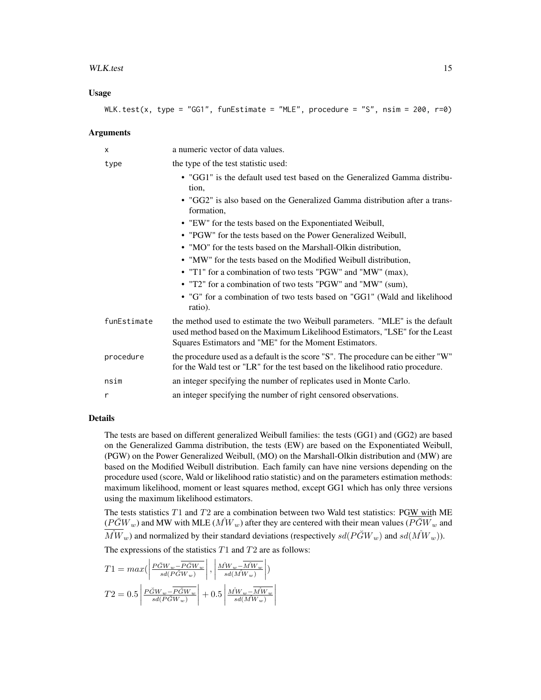#### WLK.test 15

#### Usage

$$
WLK.test(x, type = "GG1", funEstimate = "MLE", procedure = "S", nsim = 200, r=0)
$$

#### Arguments

| X           | a numeric vector of data values.                                                                                                                                                                                      |
|-------------|-----------------------------------------------------------------------------------------------------------------------------------------------------------------------------------------------------------------------|
| type        | the type of the test statistic used:                                                                                                                                                                                  |
|             | • "GG1" is the default used test based on the Generalized Gamma distribu-<br>tion,                                                                                                                                    |
|             | • "GG2" is also based on the Generalized Gamma distribution after a trans-<br>formation,                                                                                                                              |
|             | • "EW" for the tests based on the Exponentiated Weibull,                                                                                                                                                              |
|             | • "PGW" for the tests based on the Power Generalized Weibull,                                                                                                                                                         |
|             | • "MO" for the tests based on the Marshall-Olkin distribution,                                                                                                                                                        |
|             | • "MW" for the tests based on the Modified Weibull distribution,                                                                                                                                                      |
|             | • "T1" for a combination of two tests "PGW" and "MW" (max),                                                                                                                                                           |
|             | • "T2" for a combination of two tests "PGW" and "MW" (sum),                                                                                                                                                           |
|             | • "G" for a combination of two tests based on "GG1" (Wald and likelihood<br>ratio).                                                                                                                                   |
| funEstimate | the method used to estimate the two Weibull parameters. "MLE" is the default<br>used method based on the Maximum Likelihood Estimators, "LSE" for the Least<br>Squares Estimators and "ME" for the Moment Estimators. |
| procedure   | the procedure used as a default is the score "S". The procedure can be either "W"<br>for the Wald test or "LR" for the test based on the likelihood ratio procedure.                                                  |
| nsim        | an integer specifying the number of replicates used in Monte Carlo.                                                                                                                                                   |
| r           | an integer specifying the number of right censored observations.                                                                                                                                                      |

# Details

The tests are based on different generalized Weibull families: the tests (GG1) and (GG2) are based on the Generalized Gamma distribution, the tests (EW) are based on the Exponentiated Weibull, (PGW) on the Power Generalized Weibull, (MO) on the Marshall-Olkin distribution and (MW) are based on the Modified Weibull distribution. Each family can have nine versions depending on the procedure used (score, Wald or likelihood ratio statistic) and on the parameters estimation methods: maximum likelihood, moment or least squares method, except GG1 which has only three versions using the maximum likelihood estimators.

The tests statistics  $T1$  and  $T2$  are a combination between two Wald test statistics: PGW with ME  $(P\breve{G}W_w)$  and MW with MLE  $(M\hat{W}_w)$  after they are centered with their mean values  $(P\breve{G}W_w$  and  $\overline{\hat{M}W}_w$ ) and normalized by their standard deviations (respectively  $sd(P\breve{G}W_w)$ ) and  $sd(\hat{M}W_w)$ ). The expressions of the statistics  $T1$  and  $T2$  are as follows:

$$
T1 = max\left(\left|\frac{P\breve{G}W_w - \overline{P\breve{G}W_w}}{sd(P\breve{G}W_w)}\right|, \left|\frac{M\mathcal{W}_w - \overline{M}\mathcal{W}_w}{sd(M\mathcal{W}_w)}\right|\right)
$$

$$
T2 = 0.5\left|\frac{P\breve{G}W_w - \overline{P\breve{G}W_w}}{sd(P\breve{G}W_w)}\right| + 0.5\left|\frac{M\mathcal{W}_w - \overline{M}\mathcal{W}_w}{sd(M\mathcal{W}_w)}\right|
$$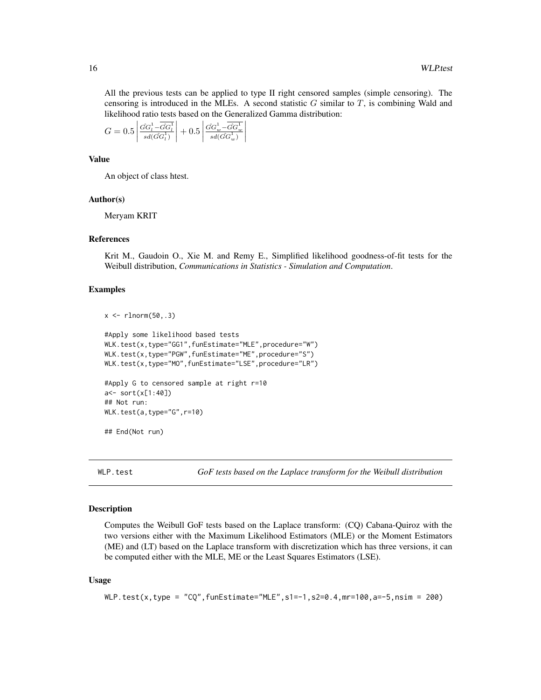<span id="page-15-0"></span>All the previous tests can be applied to type II right censored samples (simple censoring). The censoring is introduced in the MLEs. A second statistic  $G$  similar to  $T$ , is combining Wald and likelihood ratio tests based on the Generalized Gamma distribution:

$$
G = 0.5 \left| \frac{\hat{G} G_t^1 - \overline{\hat{G} G_t^1}}{sd(\hat{G} G_t^1)} \right| + 0.5 \left| \frac{\hat{G} G_w^1 - \overline{\hat{G} G_w^1}}{sd(\hat{G} G_w^1)} \right|
$$

# Value

An object of class htest.

#### Author(s)

Meryam KRIT

#### References

Krit M., Gaudoin O., Xie M. and Remy E., Simplified likelihood goodness-of-fit tests for the Weibull distribution, *Communications in Statistics - Simulation and Computation*.

#### Examples

 $x \leftarrow \text{rlnorm}(50, .3)$ 

```
#Apply some likelihood based tests
WLK.test(x,type="GG1",funEstimate="MLE",procedure="W")
WLK.test(x,type="PGW",funEstimate="ME",procedure="S")
WLK.test(x,type="MO",funEstimate="LSE",procedure="LR")
#Apply G to censored sample at right r=10
a<- sort(x[1:40])
## Not run:
WLK.test(a,type="G",r=10)
## End(Not run)
```
WLP.test *GoF tests based on the Laplace transform for the Weibull distribution*

#### Description

Computes the Weibull GoF tests based on the Laplace transform: (CQ) Cabana-Quiroz with the two versions either with the Maximum Likelihood Estimators (MLE) or the Moment Estimators (ME) and (LT) based on the Laplace transform with discretization which has three versions, it can be computed either with the MLE, ME or the Least Squares Estimators (LSE).

#### Usage

```
WLP.test(x,type = "CQ",funEstimate="MLE",s1=-1,s2=0.4,mr=100,a=-5,nsim = 200)
```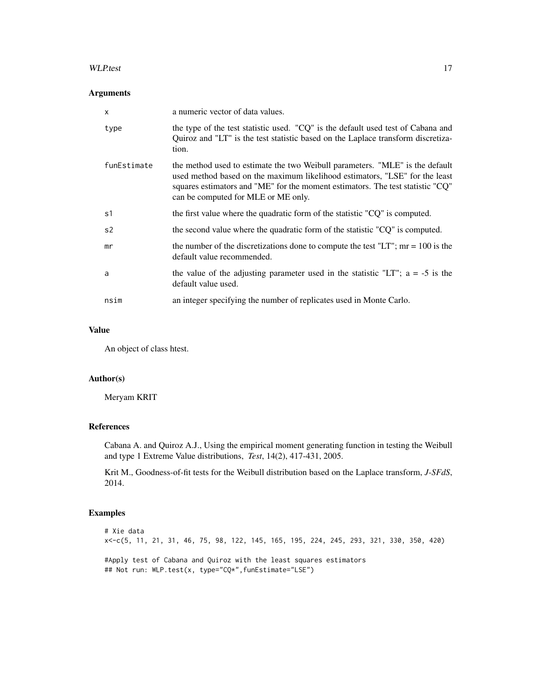#### WLP.test 17

# Arguments

| $\times$    | a numeric vector of data values.                                                                                                                                                                                                                                                     |
|-------------|--------------------------------------------------------------------------------------------------------------------------------------------------------------------------------------------------------------------------------------------------------------------------------------|
| type        | the type of the test statistic used. "CQ" is the default used test of Cabana and<br>Quiroz and "LT" is the test statistic based on the Laplace transform discretiza-<br>tion.                                                                                                        |
| funEstimate | the method used to estimate the two Weibull parameters. "MLE" is the default<br>used method based on the maximum likelihood estimators, "LSE" for the least<br>squares estimators and "ME" for the moment estimators. The test statistic "CQ"<br>can be computed for MLE or ME only. |
| s1          | the first value where the quadratic form of the statistic "CQ" is computed.                                                                                                                                                                                                          |
| s2          | the second value where the quadratic form of the statistic "CQ" is computed.                                                                                                                                                                                                         |
| mr          | the number of the discretizations done to compute the test "LT"; $mr = 100$ is the<br>default value recommended.                                                                                                                                                                     |
| a           | the value of the adjusting parameter used in the statistic "LT"; $a = -5$ is the<br>default value used.                                                                                                                                                                              |
| nsim        | an integer specifying the number of replicates used in Monte Carlo.                                                                                                                                                                                                                  |

# Value

An object of class htest.

# Author(s)

Meryam KRIT

# References

Cabana A. and Quiroz A.J., Using the empirical moment generating function in testing the Weibull and type 1 Extreme Value distributions, *Test*, 14(2), 417-431, 2005.

Krit M., Goodness-of-fit tests for the Weibull distribution based on the Laplace transform, *J-SFdS*, 2014.

# Examples

```
# Xie data
x<-c(5, 11, 21, 31, 46, 75, 98, 122, 145, 165, 195, 224, 245, 293, 321, 330, 350, 420)
#Apply test of Cabana and Quiroz with the least squares estimators
## Not run: WLP.test(x, type="CQ*",funEstimate="LSE")
```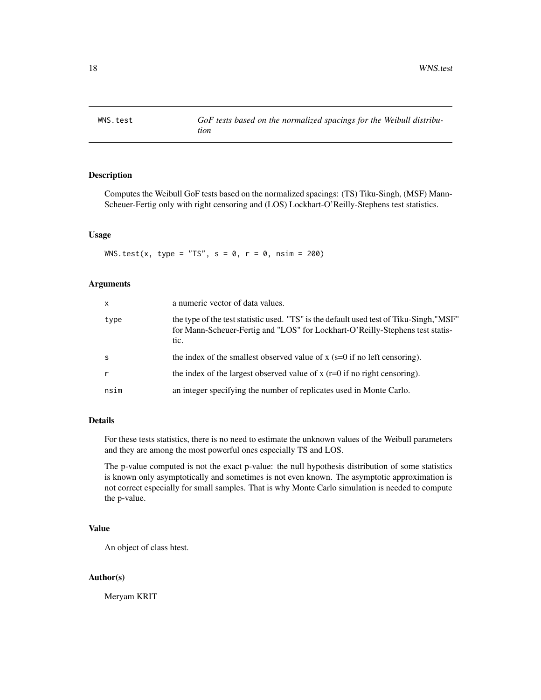<span id="page-17-0"></span>

# Description

Computes the Weibull GoF tests based on the normalized spacings: (TS) Tiku-Singh, (MSF) Mann-Scheuer-Fertig only with right censoring and (LOS) Lockhart-O'Reilly-Stephens test statistics.

#### Usage

WNS.test(x, type = "TS",  $s = 0$ ,  $r = 0$ ,  $nsim = 200$ )

#### Arguments

| $\mathsf{x}$ | a numeric vector of data values.                                                                                                                                                 |
|--------------|----------------------------------------------------------------------------------------------------------------------------------------------------------------------------------|
| type         | the type of the test statistic used. "TS" is the default used test of Tiku-Singh, "MSF"<br>for Mann-Scheuer-Fertig and "LOS" for Lockhart-O'Reilly-Stephens test statis-<br>tic. |
| -S           | the index of the smallest observed value of x ( $s=0$ if no left censoring).                                                                                                     |
| $\mathsf{r}$ | the index of the largest observed value of x $(r=0$ if no right censoring).                                                                                                      |
| nsim         | an integer specifying the number of replicates used in Monte Carlo.                                                                                                              |

# Details

For these tests statistics, there is no need to estimate the unknown values of the Weibull parameters and they are among the most powerful ones especially TS and LOS.

The p-value computed is not the exact p-value: the null hypothesis distribution of some statistics is known only asymptotically and sometimes is not even known. The asymptotic approximation is not correct especially for small samples. That is why Monte Carlo simulation is needed to compute the p-value.

# Value

An object of class htest.

# Author(s)

Meryam KRIT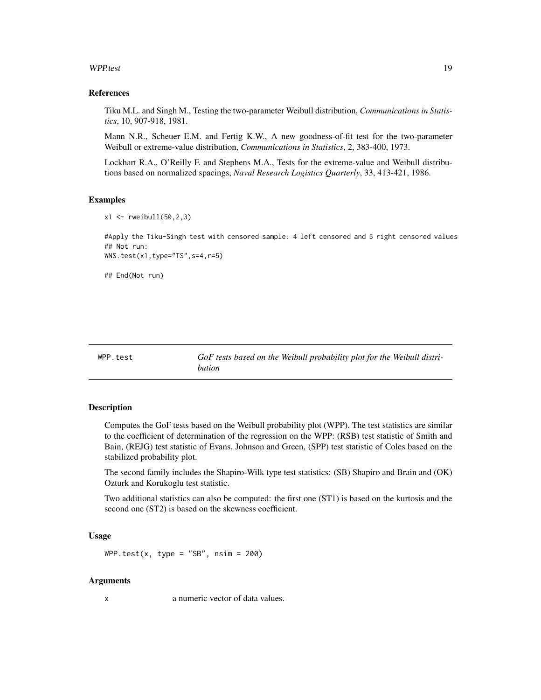#### <span id="page-18-0"></span>WPP.test 19

#### References

Tiku M.L. and Singh M., Testing the two-parameter Weibull distribution, *Communications in Statistics*, 10, 907-918, 1981.

Mann N.R., Scheuer E.M. and Fertig K.W., A new goodness-of-fit test for the two-parameter Weibull or extreme-value distribution, *Communications in Statistics*, 2, 383-400, 1973.

Lockhart R.A., O'Reilly F. and Stephens M.A., Tests for the extreme-value and Weibull distributions based on normalized spacings, *Naval Research Logistics Quarterly*, 33, 413-421, 1986.

#### Examples

```
x1 <- rweibull(50,2,3)
```
#Apply the Tiku-Singh test with censored sample: 4 left censored and 5 right censored values ## Not run: WNS.test(x1,type="TS",s=4,r=5)

## End(Not run)

WPP.test *GoF tests based on the Weibull probability plot for the Weibull distribution*

# **Description**

Computes the GoF tests based on the Weibull probability plot (WPP). The test statistics are similar to the coefficient of determination of the regression on the WPP: (RSB) test statistic of Smith and Bain, (REJG) test statistic of Evans, Johnson and Green, (SPP) test statistic of Coles based on the stabilized probability plot.

The second family includes the Shapiro-Wilk type test statistics: (SB) Shapiro and Brain and (OK) Ozturk and Korukoglu test statistic.

Two additional statistics can also be computed: the first one (ST1) is based on the kurtosis and the second one (ST2) is based on the skewness coefficient.

#### Usage

```
WPP.test(x, type = "SB", nsim = 200)
```
# Arguments

x a numeric vector of data values.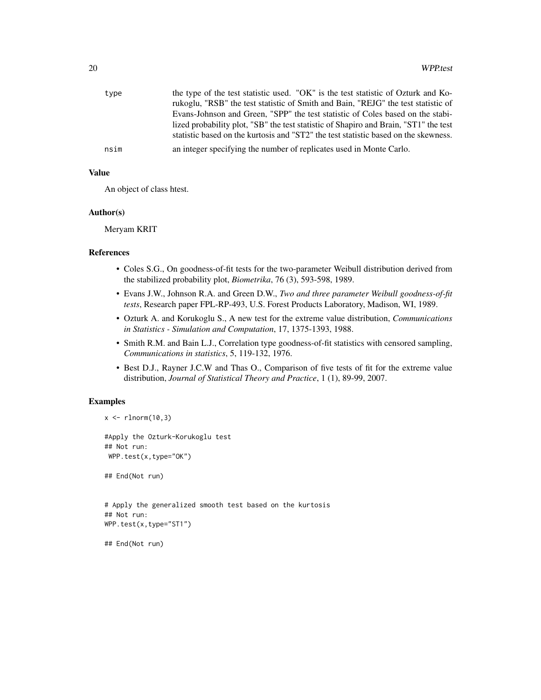| type | the type of the test statistic used. "OK" is the test statistic of Ozturk and Ko-<br>rukoglu, "RSB" the test statistic of Smith and Bain, "REJG" the test statistic of      |
|------|-----------------------------------------------------------------------------------------------------------------------------------------------------------------------------|
|      | Evans-Johnson and Green, "SPP" the test statistic of Coles based on the stabi-                                                                                              |
|      | lized probability plot, "SB" the test statistic of Shapiro and Brain, "ST1" the test<br>statistic based on the kurtosis and "ST2" the test statistic based on the skewness. |
| nsim | an integer specifying the number of replicates used in Monte Carlo.                                                                                                         |

# Value

An object of class htest.

#### Author(s)

Meryam KRIT

# References

- Coles S.G., On goodness-of-fit tests for the two-parameter Weibull distribution derived from the stabilized probability plot, *Biometrika*, 76 (3), 593-598, 1989.
- Evans J.W., Johnson R.A. and Green D.W., *Two and three parameter Weibull goodness-of-fit tests*, Research paper FPL-RP-493, U.S. Forest Products Laboratory, Madison, WI, 1989.
- Ozturk A. and Korukoglu S., A new test for the extreme value distribution, *Communications in Statistics - Simulation and Computation*, 17, 1375-1393, 1988.
- Smith R.M. and Bain L.J., Correlation type goodness-of-fit statistics with censored sampling, *Communications in statistics*, 5, 119-132, 1976.
- Best D.J., Rayner J.C.W and Thas O., Comparison of five tests of fit for the extreme value distribution, *Journal of Statistical Theory and Practice*, 1 (1), 89-99, 2007.

#### Examples

```
x \leftarrow \text{rlnorm}(10, 3)
```
#Apply the Ozturk-Korukoglu test ## Not run: WPP.test(x,type="OK")

## End(Not run)

```
# Apply the generalized smooth test based on the kurtosis
## Not run:
WPP.test(x,type="ST1")
```
## End(Not run)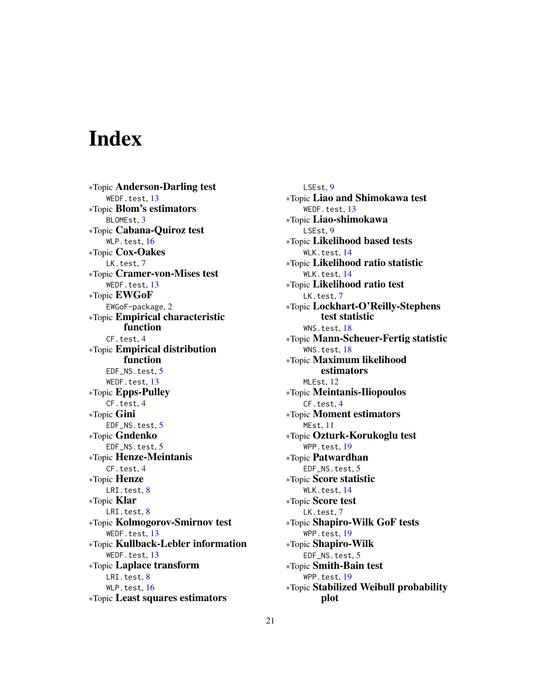# <span id="page-20-0"></span>Index

∗Topic Anderson-Darling test WEDF.test, [13](#page-12-0) ∗Topic Blom's estimators BLOMEst, [3](#page-2-0) ∗Topic Cabana-Quiroz test WLP.test, [16](#page-15-0) ∗Topic Cox-Oakes LK.test, [7](#page-6-0) ∗Topic Cramer-von-Mises test WEDF.test, [13](#page-12-0) ∗Topic EWGoF EWGoF-package, [2](#page-1-0) ∗Topic Empirical characteristic function CF.test, [4](#page-3-0) ∗Topic Empirical distribution function EDF\_NS.test. [5](#page-4-0) WEDF.test, [13](#page-12-0) ∗Topic Epps-Pulley CF.test, [4](#page-3-0) ∗Topic Gini EDF\_NS.test, [5](#page-4-0) ∗Topic Gndenko EDF\_NS.test, [5](#page-4-0) ∗Topic Henze-Meintanis CF.test, [4](#page-3-0) ∗Topic Henze LRI.test, [8](#page-7-0) ∗Topic Klar LRI.test, [8](#page-7-0) ∗Topic Kolmogorov-Smirnov test WEDF.test, [13](#page-12-0) ∗Topic Kullback-Lebler information WEDF.test, [13](#page-12-0) ∗Topic Laplace transform LRI.test, [8](#page-7-0) WLP.test, [16](#page-15-0) ∗Topic Least squares estimators

LSEst, [9](#page-8-0) ∗Topic Liao and Shimokawa test WEDF.test, [13](#page-12-0) ∗Topic Liao-shimokawa LSEst, [9](#page-8-0) ∗Topic Likelihood based tests WLK.test.[14](#page-13-0) ∗Topic Likelihood ratio statistic WLK.test.[14](#page-13-0) ∗Topic Likelihood ratio test LK.test, [7](#page-6-0) ∗Topic Lockhart-O'Reilly-Stephens test statistic WNS.test.[18](#page-17-0) ∗Topic Mann-Scheuer-Fertig statistic WNS.test, [18](#page-17-0) ∗Topic Maximum likelihood estimators MLEst, [12](#page-11-0) ∗Topic Meintanis-Iliopoulos CF.test, [4](#page-3-0) ∗Topic Moment estimators MEst, [11](#page-10-0) ∗Topic Ozturk-Korukoglu test WPP.test, [19](#page-18-0) ∗Topic Patwardhan EDF\_NS.test, [5](#page-4-0) ∗Topic Score statistic WLK.test, [14](#page-13-0) ∗Topic Score test LK.test, [7](#page-6-0) ∗Topic Shapiro-Wilk GoF tests WPP.test, [19](#page-18-0) ∗Topic Shapiro-Wilk EDF\_NS.test, [5](#page-4-0) ∗Topic Smith-Bain test WPP.test, [19](#page-18-0) ∗Topic Stabilized Weibull probability plot